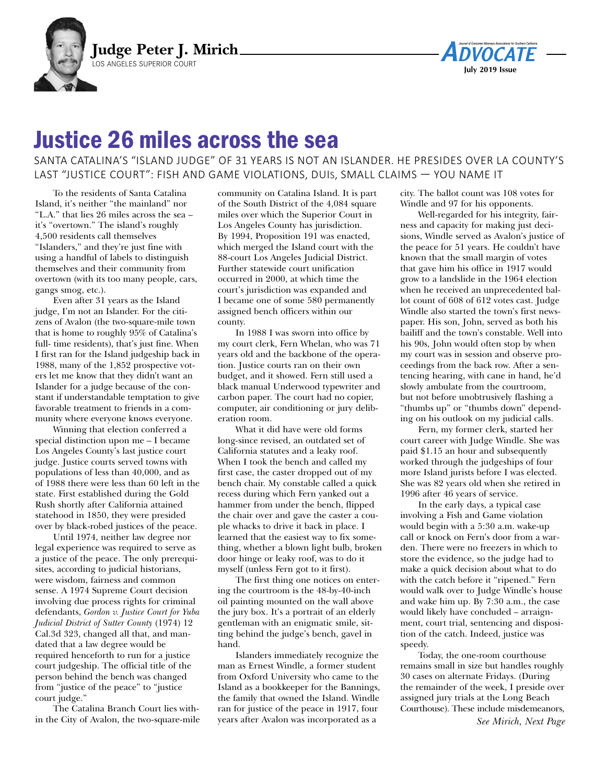



## Justice 26 miles across the sea

SANTA CATALINA'S "ISLAND JUDGE" OF 31 YEARS IS NOT AN ISLANDER. HE PRESIDES OVER LA COUNTY'S LAST "JUSTICE COURT": FISH AND GAME VIOLATIONS, DUIS, SMALL CLAIMS — YOU NAME IT

To the residents of Santa Catalina Island, it's neither "the mainland" nor "L.A." that lies 26 miles across the sea – it's "overtown." The island's roughly 4,500 residents call themselves "Islanders," and they're just fine with using a handful of labels to distinguish themselves and their community from overtown (with its too many people, cars, gangs smog, etc.).

Even after 31 years as the Island judge, I'm not an Islander. For the citizens of Avalon (the two-square-mile town that is home to roughly 95% of Catalina's full- time residents), that's just fine. When I first ran for the Island judgeship back in 1988, many of the 1,852 prospective voters let me know that they didn't want an Islander for a judge because of the constant if understandable temptation to give favorable treatment to friends in a community where everyone knows everyone.

Winning that election conferred a special distinction upon me – I became Los Angeles County's last justice court judge. Justice courts served towns with populations of less than 40,000, and as of 1988 there were less than 60 left in the state. First established during the Gold Rush shortly after California attained statehood in 1850, they were presided over by black-robed justices of the peace.

Until 1974, neither law degree nor legal experience was required to serve as a justice of the peace. The only prerequisites, according to judicial historians, were wisdom, fairness and common sense. A 1974 Supreme Court decision involving due process rights for criminal defendants, *Gordon v. Justice Court for Yuba Judicial District of Sutter County* (1974) 12 Cal.3d 323, changed all that, and mandated that a law degree would be required henceforth to run for a justice court judgeship. The official title of the person behind the bench was changed from "justice of the peace" to "justice court judge."

The Catalina Branch Court lies within the City of Avalon, the two-square-mile

community on Catalina Island. It is part of the South District of the 4,084 square miles over which the Superior Court in Los Angeles County has jurisdiction. By 1994, Proposition 191 was enacted, which merged the Island court with the 88-court Los Angeles Judicial District. Further statewide court unification occurred in 2000, at which time the court's jurisdiction was expanded and I became one of some 580 permanently assigned bench officers within our county.

In 1988 I was sworn into office by my court clerk, Fern Whelan, who was 71 years old and the backbone of the operation. Justice courts ran on their own budget, and it showed. Fern still used a black manual Underwood typewriter and carbon paper. The court had no copier, computer, air conditioning or jury deliberation room.

What it did have were old forms long-since revised, an outdated set of California statutes and a leaky roof. When I took the bench and called my first case, the caster dropped out of my bench chair. My constable called a quick recess during which Fern yanked out a hammer from under the bench, flipped the chair over and gave the caster a couple whacks to drive it back in place. I learned that the easiest way to fix something, whether a blown light bulb, broken door hinge or leaky roof, was to do it myself (unless Fern got to it first).

The first thing one notices on entering the courtroom is the 48-by-40-inch oil painting mounted on the wall above the jury box. It's a portrait of an elderly gentleman with an enigmatic smile, sitting behind the judge's bench, gavel in hand.

Islanders immediately recognize the man as Ernest Windle, a former student from Oxford University who came to the Island as a bookkeeper for the Bannings, the family that owned the Island. Windle ran for justice of the peace in 1917, four years after Avalon was incorporated as a

city. The ballot count was 108 votes for Windle and 97 for his opponents.

Well-regarded for his integrity, fairness and capacity for making just decisions, Windle served as Avalon's justice of the peace for 51 years. He couldn't have known that the small margin of votes that gave him his office in 1917 would grow to a landslide in the 1964 election when he received an unprecedented ballot count of 608 of 612 votes cast. Judge Windle also started the town's first newspaper. His son, John, served as both his bailiff and the town's constable. Well into his 90s, John would often stop by when my court was in session and observe proceedings from the back row. After a sentencing hearing, with cane in hand, he'd slowly ambulate from the courtroom, but not before unobtrusively flashing a "thumbs up" or "thumbs down" depending on his outlook on my judicial calls.

Fern, my former clerk, started her court career with Judge Windle. She was paid \$1.15 an hour and subsequently worked through the judgeships of four more Island jurists before I was elected. She was 82 years old when she retired in 1996 after 46 years of service.

In the early days, a typical case involving a Fish and Game violation would begin with a 5:30 a.m. wake-up call or knock on Fern's door from a warden. There were no freezers in which to store the evidence, so the judge had to make a quick decision about what to do with the catch before it "ripened." Fern would walk over to Judge Windle's house and wake him up. By 7:30 a.m., the case would likely have concluded – arraignment, court trial, sentencing and disposition of the catch. Indeed, justice was speedy.

Today, the one-room courthouse remains small in size but handles roughly 30 cases on alternate Fridays. (During the remainder of the week, I preside over assigned jury trials at the Long Beach Courthouse). These include misdemeanors, *See Mirich, Next Page*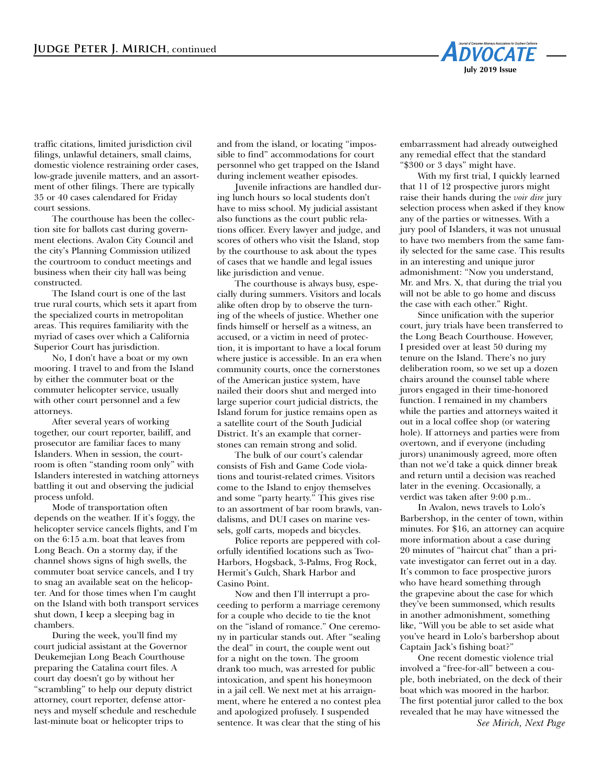

traffic citations, limited jurisdiction civil filings, unlawful detainers, small claims, domestic violence restraining order cases, low-grade juvenile matters, and an assortment of other filings. There are typically 35 or 40 cases calendared for Friday court sessions.

The courthouse has been the collection site for ballots cast during government elections. Avalon City Council and the city's Planning Commission utilized the courtroom to conduct meetings and business when their city hall was being constructed.

The Island court is one of the last true rural courts, which sets it apart from the specialized courts in metropolitan areas. This requires familiarity with the myriad of cases over which a California Superior Court has jurisdiction.

No, I don't have a boat or my own mooring. I travel to and from the Island by either the commuter boat or the commuter helicopter service, usually with other court personnel and a few attorneys.

After several years of working together, our court reporter, bailiff, and prosecutor are familiar faces to many Islanders. When in session, the courtroom is often "standing room only" with Islanders interested in watching attorneys battling it out and observing the judicial process unfold.

Mode of transportation often depends on the weather. If it's foggy, the helicopter service cancels flights, and I'm on the 6:15 a.m. boat that leaves from Long Beach. On a stormy day, if the channel shows signs of high swells, the commuter boat service cancels, and I try to snag an available seat on the helicopter. And for those times when I'm caught on the Island with both transport services shut down, I keep a sleeping bag in chambers.

During the week, you'll find my court judicial assistant at the Governor Deukemejian Long Beach Courthouse preparing the Catalina court files. A court day doesn't go by without her "scrambling" to help our deputy district attorney, court reporter, defense attorneys and myself schedule and reschedule last-minute boat or helicopter trips to

and from the island, or locating "impossible to find" accommodations for court personnel who get trapped on the Island during inclement weather episodes.

Juvenile infractions are handled during lunch hours so local students don't have to miss school. My judicial assistant also functions as the court public relations officer. Every lawyer and judge, and scores of others who visit the Island, stop by the courthouse to ask about the types of cases that we handle and legal issues like jurisdiction and venue.

The courthouse is always busy, especially during summers. Visitors and locals alike often drop by to observe the turning of the wheels of justice. Whether one finds himself or herself as a witness, an accused, or a victim in need of protection, it is important to have a local forum where justice is accessible. In an era when community courts, once the cornerstones of the American justice system, have nailed their doors shut and merged into large superior court judicial districts, the Island forum for justice remains open as a satellite court of the South Judicial District. It's an example that cornerstones can remain strong and solid.

The bulk of our court's calendar consists of Fish and Game Code violations and tourist-related crimes. Visitors come to the Island to enjoy themselves and some "party hearty." This gives rise to an assortment of bar room brawls, vandalisms, and DUI cases on marine vessels, golf carts, mopeds and bicycles.

Police reports are peppered with colorfully identified locations such as Two-Harbors, Hogsback, 3-Palms, Frog Rock, Hermit's Gulch, Shark Harbor and Casino Point.

Now and then I'll interrupt a proceeding to perform a marriage ceremony for a couple who decide to tie the knot on the "island of romance." One ceremony in particular stands out. After "sealing the deal" in court, the couple went out for a night on the town. The groom drank too much, was arrested for public intoxication, and spent his honeymoon in a jail cell. We next met at his arraignment, where he entered a no contest plea and apologized profusely. I suspended sentence. It was clear that the sting of his embarrassment had already outweighed any remedial effect that the standard "\$300 or 3 days" might have.

With my first trial, I quickly learned that 11 of 12 prospective jurors might raise their hands during the *voir dire* jury selection process when asked if they know any of the parties or witnesses. With a jury pool of Islanders, it was not unusual to have two members from the same family selected for the same case. This results in an interesting and unique juror admonishment: "Now you understand, Mr. and Mrs. X, that during the trial you will not be able to go home and discuss the case with each other." Right.

 Since unification with the superior court, jury trials have been transferred to the Long Beach Courthouse. However, I presided over at least 50 during my tenure on the Island. There's no jury deliberation room, so we set up a dozen chairs around the counsel table where jurors engaged in their time-honored function. I remained in my chambers while the parties and attorneys waited it out in a local coffee shop (or watering hole). If attorneys and parties were from overtown, and if everyone (including jurors) unanimously agreed, more often than not we'd take a quick dinner break and return until a decision was reached later in the evening. Occasionally, a verdict was taken after 9:00 p.m..

In Avalon, news travels to Lolo's Barbershop, in the center of town, within minutes. For \$16, an attorney can acquire more information about a case during 20 minutes of "haircut chat" than a private investigator can ferret out in a day. It's common to face prospective jurors who have heard something through the grapevine about the case for which they've been summonsed, which results in another admonishment, something like, "Will you be able to set aside what you've heard in Lolo's barbershop about Captain Jack's fishing boat?"

One recent domestic violence trial involved a "free-for-all" between a couple, both inebriated, on the deck of their boat which was moored in the harbor. The first potential juror called to the box revealed that he may have witnessed the *See Mirich, Next Page*